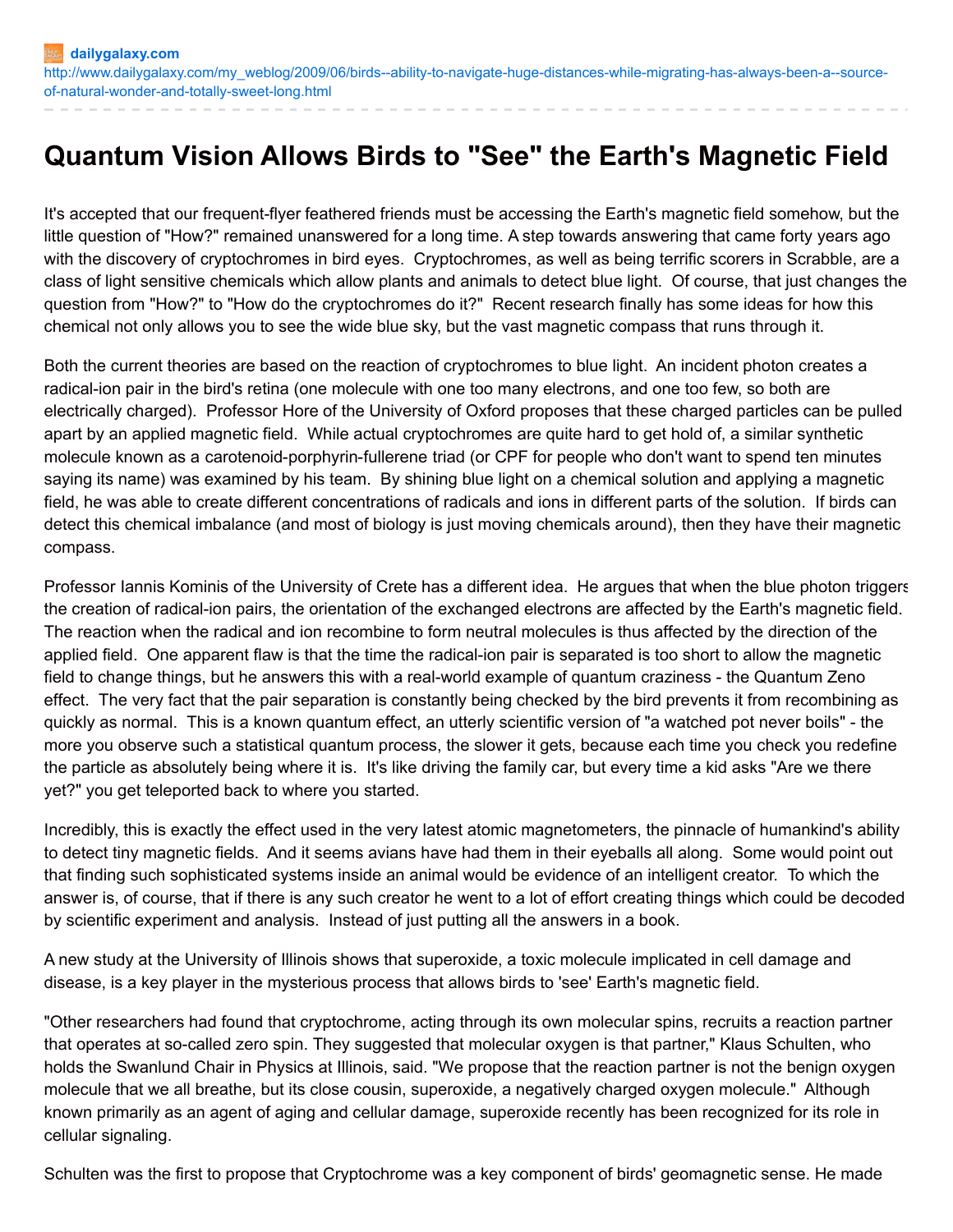## **Quantum Vision Allows Birds to "See" the Earth's Magnetic Field**

It's accepted that our frequent-flyer feathered friends must be accessing the Earth's magnetic field somehow, but the little question of "How?" remained unanswered for a long time. A step towards answering that came forty years ago with the discovery of cryptochromes in bird eyes. Cryptochromes, as well as being terrific scorers in Scrabble, are a class of light sensitive chemicals which allow plants and animals to detect blue light. Of course, that just changes the question from "How?" to "How do the cryptochromes do it?" Recent research finally has some ideas for how this chemical not only allows you to see the wide blue sky, but the vast magnetic compass that runs through it.

Both the current theories are based on the reaction of cryptochromes to blue light. An incident photon creates a radical-ion pair in the bird's retina (one molecule with one too many electrons, and one too few, so both are electrically charged). Professor Hore of the University of Oxford proposes that these charged particles can be pulled apart by an applied magnetic field. While actual cryptochromes are quite hard to get hold of, a similar synthetic molecule known as a carotenoid-porphyrin-fullerene triad (or CPF for people who don't want to spend ten minutes saying its name) was examined by his team. By shining blue light on a chemical solution and applying a magnetic field, he was able to create different concentrations of radicals and ions in different parts of the solution. If birds can detect this chemical imbalance (and most of biology is just moving chemicals around), then they have their magnetic compass.

Professor Iannis Kominis of the University of Crete has a different idea. He argues that when the blue photon triggers the creation of radical-ion pairs, the orientation of the exchanged electrons are affected by the Earth's magnetic field. The reaction when the radical and ion recombine to form neutral molecules is thus affected by the direction of the applied field. One apparent flaw is that the time the radical-ion pair is separated is too short to allow the magnetic field to change things, but he answers this with a real-world example of quantum craziness - the Quantum Zeno effect. The very fact that the pair separation is constantly being checked by the bird prevents it from recombining as quickly as normal. This is a known quantum effect, an utterly scientific version of "a watched pot never boils" - the more you observe such a statistical quantum process, the slower it gets, because each time you check you redefine the particle as absolutely being where it is. It's like driving the family car, but every time a kid asks "Are we there yet?" you get teleported back to where you started.

Incredibly, this is exactly the effect used in the very latest atomic magnetometers, the pinnacle of humankind's ability to detect tiny magnetic fields. And it seems avians have had them in their eyeballs all along. Some would point out that finding such sophisticated systems inside an animal would be evidence of an intelligent creator. To which the answer is, of course, that if there is any such creator he went to a lot of effort creating things which could be decoded by scientific experiment and analysis. Instead of just putting all the answers in a book.

A new study at the University of Illinois shows that superoxide, a toxic molecule implicated in cell damage and disease, is a key player in the mysterious process that allows birds to 'see' Earth's magnetic field.

"Other researchers had found that cryptochrome, acting through its own molecular spins, recruits a reaction partner that operates at so-called zero spin. They suggested that molecular oxygen is that partner," Klaus Schulten, who holds the Swanlund Chair in Physics at Illinois, said. "We propose that the reaction partner is not the benign oxygen molecule that we all breathe, but its close cousin, superoxide, a negatively charged oxygen molecule." Although known primarily as an agent of aging and cellular damage, superoxide recently has been recognized for its role in cellular signaling.

Schulten was the first to propose that Cryptochrome was a key component of birds' geomagnetic sense. He made